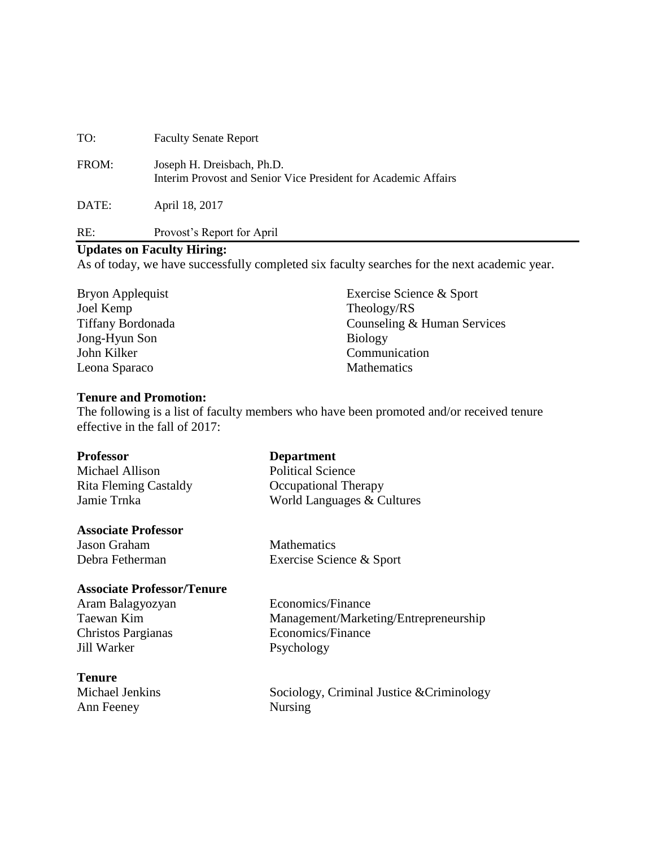| TO:   | <b>Faculty Senate Report</b>                                                                 |
|-------|----------------------------------------------------------------------------------------------|
| FROM: | Joseph H. Dreisbach, Ph.D.<br>Interim Provost and Senior Vice President for Academic Affairs |
| DATE: | April 18, 2017                                                                               |
| RE:   | Provost's Report for April                                                                   |

#### **Updates on Faculty Hiring:**

As of today, we have successfully completed six faculty searches for the next academic year.

Bryon Applequist Exercise Science & Sport Joel Kemp Theology/RS Tiffany Bordonada Counseling & Human Services Jong-Hyun Son Biology John Kilker Communication Leona Sparaco Mathematics

#### **Tenure and Promotion:**

The following is a list of faculty members who have been promoted and/or received tenure effective in the fall of 2017:

#### **Professor Department**

Michael Allison Political Science Rita Fleming Castaldy **Castaldy** Occupational Therapy Jamie Trnka World Languages & Cultures

#### **Associate Professor**

**Jason Graham Mathematics** 

# Debra Fetherman Exercise Science & Sport

# **Associate Professor/Tenure**

Christos Pargianas Economics/Finance Jill Warker Psychology

Aram Balagyozyan Economics/Finance Taewan Kim Management/Marketing/Entrepreneurship

# **Tenure**

Ann Feeney Nursing

Michael Jenkins Sociology, Criminal Justice &Criminology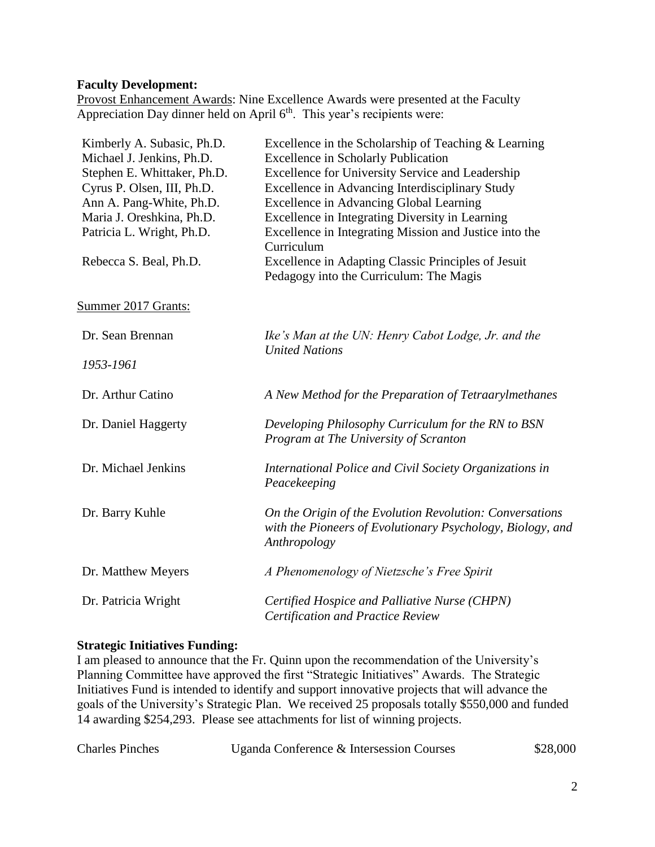#### **Faculty Development:**

Provost Enhancement Awards: Nine Excellence Awards were presented at the Faculty Appreciation Day dinner held on April  $6<sup>th</sup>$ . This year's recipients were:

| Kimberly A. Subasic, Ph.D.  | Excellence in the Scholarship of Teaching $&$ Learning     |
|-----------------------------|------------------------------------------------------------|
| Michael J. Jenkins, Ph.D.   | <b>Excellence in Scholarly Publication</b>                 |
| Stephen E. Whittaker, Ph.D. | Excellence for University Service and Leadership           |
| Cyrus P. Olsen, III, Ph.D.  | Excellence in Advancing Interdisciplinary Study            |
| Ann A. Pang-White, Ph.D.    | <b>Excellence in Advancing Global Learning</b>             |
| Maria J. Oreshkina, Ph.D.   | Excellence in Integrating Diversity in Learning            |
| Patricia L. Wright, Ph.D.   | Excellence in Integrating Mission and Justice into the     |
|                             | Curriculum                                                 |
| Rebecca S. Beal, Ph.D.      | Excellence in Adapting Classic Principles of Jesuit        |
|                             | Pedagogy into the Curriculum: The Magis                    |
|                             |                                                            |
| Summer 2017 Grants:         |                                                            |
|                             |                                                            |
| Dr. Sean Brennan            | Ike's Man at the UN: Henry Cabot Lodge, Jr. and the        |
|                             | <b>United Nations</b>                                      |
| 1953-1961                   |                                                            |
|                             |                                                            |
| Dr. Arthur Catino           | A New Method for the Preparation of Tetraarylmethanes      |
|                             |                                                            |
| Dr. Daniel Haggerty         | Developing Philosophy Curriculum for the RN to BSN         |
|                             | Program at The University of Scranton                      |
|                             |                                                            |
| Dr. Michael Jenkins         | International Police and Civil Society Organizations in    |
|                             | Peacekeeping                                               |
|                             |                                                            |
| Dr. Barry Kuhle             | On the Origin of the Evolution Revolution: Conversations   |
|                             | with the Pioneers of Evolutionary Psychology, Biology, and |
|                             | Anthropology                                               |
|                             |                                                            |
| Dr. Matthew Meyers          | A Phenomenology of Nietzsche's Free Spirit                 |
|                             |                                                            |
| Dr. Patricia Wright         | Certified Hospice and Palliative Nurse (CHPN)              |
|                             | <b>Certification and Practice Review</b>                   |
|                             |                                                            |

# **Strategic Initiatives Funding:**

I am pleased to announce that the Fr. Quinn upon the recommendation of the University's Planning Committee have approved the first "Strategic Initiatives" Awards. The Strategic Initiatives Fund is intended to identify and support innovative projects that will advance the goals of the University's Strategic Plan. We received 25 proposals totally \$550,000 and funded 14 awarding \$254,293. Please see attachments for list of winning projects.

| <b>Charles Pinches</b><br>Uganda Conference & Intersession Courses | \$28,000 |
|--------------------------------------------------------------------|----------|
|--------------------------------------------------------------------|----------|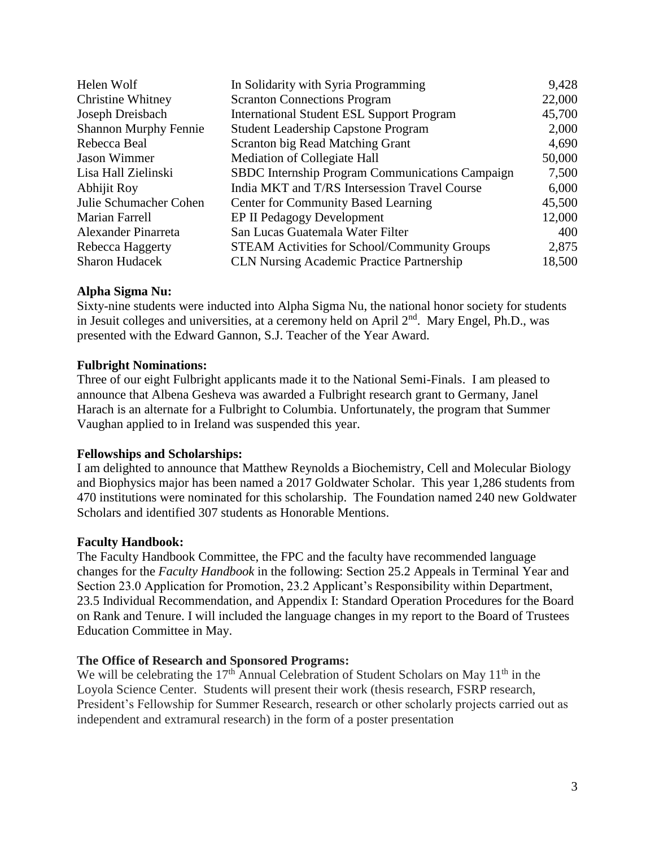| Helen Wolf                   | In Solidarity with Syria Programming                   | 9,428  |
|------------------------------|--------------------------------------------------------|--------|
| <b>Christine Whitney</b>     | <b>Scranton Connections Program</b>                    | 22,000 |
| Joseph Dreisbach             | <b>International Student ESL Support Program</b>       | 45,700 |
| <b>Shannon Murphy Fennie</b> | <b>Student Leadership Capstone Program</b>             | 2,000  |
| Rebecca Beal                 | Scranton big Read Matching Grant                       | 4,690  |
| <b>Jason Wimmer</b>          | Mediation of Collegiate Hall                           | 50,000 |
| Lisa Hall Zielinski          | <b>SBDC</b> Internship Program Communications Campaign | 7,500  |
| Abhijit Roy                  | India MKT and T/RS Intersession Travel Course          | 6,000  |
| Julie Schumacher Cohen       | <b>Center for Community Based Learning</b>             | 45,500 |
| Marian Farrell               | <b>EP II Pedagogy Development</b>                      | 12,000 |
| Alexander Pinarreta          | San Lucas Guatemala Water Filter                       | 400    |
| Rebecca Haggerty             | <b>STEAM Activities for School/Community Groups</b>    | 2,875  |
| <b>Sharon Hudacek</b>        | <b>CLN Nursing Academic Practice Partnership</b>       | 18,500 |

#### **Alpha Sigma Nu:**

Sixty-nine students were inducted into Alpha Sigma Nu, the national honor society for students in Jesuit colleges and universities, at a ceremony held on April 2<sup>nd</sup>. Mary Engel, Ph.D., was presented with the Edward Gannon, S.J. Teacher of the Year Award.

#### **Fulbright Nominations:**

Three of our eight Fulbright applicants made it to the National Semi-Finals. I am pleased to announce that Albena Gesheva was awarded a Fulbright research grant to Germany, Janel Harach is an alternate for a Fulbright to Columbia. Unfortunately, the program that Summer Vaughan applied to in Ireland was suspended this year.

#### **Fellowships and Scholarships:**

I am delighted to announce that Matthew Reynolds a Biochemistry, Cell and Molecular Biology and Biophysics major has been named a 2017 Goldwater Scholar. This year 1,286 students from 470 institutions were nominated for this scholarship. The Foundation named 240 new Goldwater Scholars and identified 307 students as Honorable Mentions.

# **Faculty Handbook:**

The Faculty Handbook Committee, the FPC and the faculty have recommended language changes for the *Faculty Handbook* in the following: Section 25.2 Appeals in Terminal Year and Section 23.0 Application for Promotion, 23.2 Applicant's Responsibility within Department, 23.5 Individual Recommendation, and Appendix I: Standard Operation Procedures for the Board on Rank and Tenure. I will included the language changes in my report to the Board of Trustees Education Committee in May.

#### **The Office of Research and Sponsored Programs:**

We will be celebrating the  $17<sup>th</sup>$  Annual Celebration of Student Scholars on May  $11<sup>th</sup>$  in the Loyola Science Center. Students will present their work (thesis research, FSRP research, President's Fellowship for Summer Research, research or other scholarly projects carried out as independent and extramural research) in the form of a poster presentation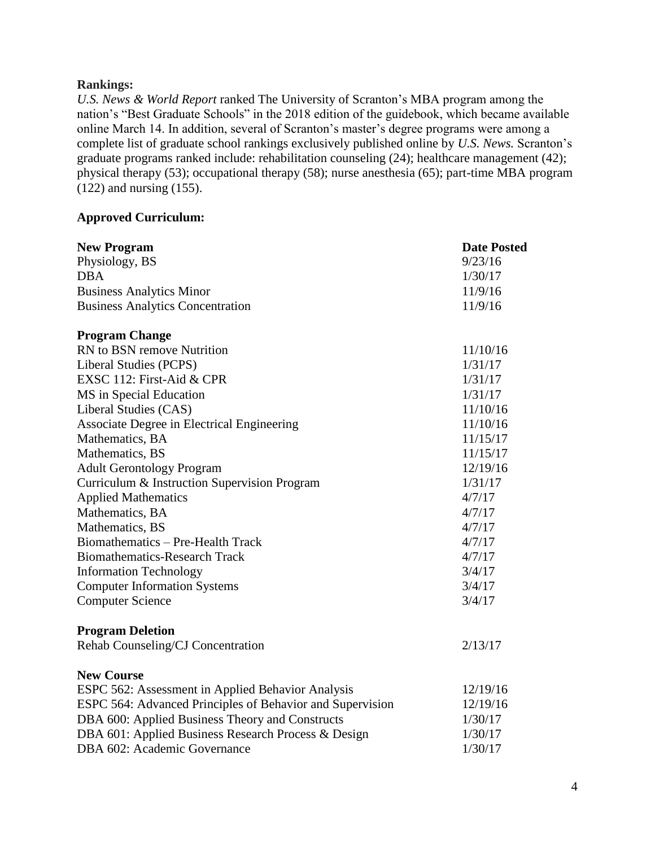#### **Rankings:**

*U.S. News & World Report* ranked The University of Scranton's MBA program among the nation's "Best Graduate Schools" in the 2018 edition of the guidebook, which became available online March 14. In addition, several of Scranton's master's degree programs were among a complete list of graduate school rankings exclusively published online by *U.S. News.* Scranton's graduate programs ranked include: rehabilitation counseling (24); healthcare management (42); physical therapy (53); occupational therapy (58); nurse anesthesia (65); part-time MBA program (122) and nursing (155).

#### **Approved Curriculum:**

| <b>New Program</b><br>Physiology, BS                      | <b>Date Posted</b><br>9/23/16 |
|-----------------------------------------------------------|-------------------------------|
| <b>DBA</b>                                                | 1/30/17                       |
| <b>Business Analytics Minor</b>                           | 11/9/16                       |
| <b>Business Analytics Concentration</b>                   | 11/9/16                       |
|                                                           |                               |
| <b>Program Change</b>                                     |                               |
| RN to BSN remove Nutrition                                | 11/10/16                      |
| Liberal Studies (PCPS)                                    | 1/31/17                       |
| EXSC 112: First-Aid & CPR                                 | 1/31/17                       |
| MS in Special Education                                   | 1/31/17                       |
| Liberal Studies (CAS)                                     | 11/10/16                      |
| Associate Degree in Electrical Engineering                | 11/10/16                      |
| Mathematics, BA                                           | 11/15/17                      |
| Mathematics, BS                                           | 11/15/17                      |
| <b>Adult Gerontology Program</b>                          | 12/19/16                      |
| Curriculum & Instruction Supervision Program              | 1/31/17                       |
| <b>Applied Mathematics</b>                                | 4/7/17                        |
| Mathematics, BA                                           | 4/7/17                        |
| Mathematics, BS                                           | 4/7/17                        |
| Biomathematics - Pre-Health Track                         | 4/7/17                        |
| <b>Biomathematics-Research Track</b>                      | 4/7/17                        |
| <b>Information Technology</b>                             | 3/4/17                        |
| <b>Computer Information Systems</b>                       | 3/4/17                        |
| <b>Computer Science</b>                                   | 3/4/17                        |
|                                                           |                               |
| <b>Program Deletion</b>                                   |                               |
| Rehab Counseling/CJ Concentration                         | 2/13/17                       |
| <b>New Course</b>                                         |                               |
| ESPC 562: Assessment in Applied Behavior Analysis         | 12/19/16                      |
| ESPC 564: Advanced Principles of Behavior and Supervision | 12/19/16                      |
| DBA 600: Applied Business Theory and Constructs           | 1/30/17                       |
| DBA 601: Applied Business Research Process & Design       | 1/30/17                       |
| DBA 602: Academic Governance                              | 1/30/17                       |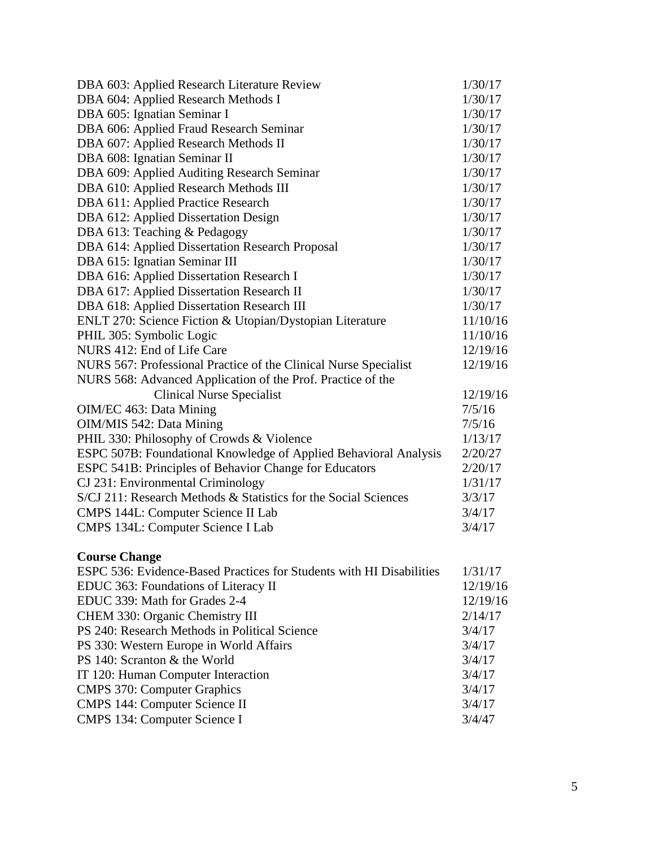| DBA 603: Applied Research Literature Review                      | 1/30/17  |
|------------------------------------------------------------------|----------|
| DBA 604: Applied Research Methods I                              | 1/30/17  |
| DBA 605: Ignatian Seminar I                                      | 1/30/17  |
| DBA 606: Applied Fraud Research Seminar                          | 1/30/17  |
| DBA 607: Applied Research Methods II                             | 1/30/17  |
| DBA 608: Ignatian Seminar II                                     | 1/30/17  |
| DBA 609: Applied Auditing Research Seminar                       | 1/30/17  |
| DBA 610: Applied Research Methods III                            | 1/30/17  |
| DBA 611: Applied Practice Research                               | 1/30/17  |
| DBA 612: Applied Dissertation Design                             | 1/30/17  |
| DBA 613: Teaching & Pedagogy                                     | 1/30/17  |
| DBA 614: Applied Dissertation Research Proposal                  | 1/30/17  |
| DBA 615: Ignatian Seminar III                                    | 1/30/17  |
| DBA 616: Applied Dissertation Research I                         | 1/30/17  |
| DBA 617: Applied Dissertation Research II                        | 1/30/17  |
| DBA 618: Applied Dissertation Research III                       | 1/30/17  |
| ENLT 270: Science Fiction & Utopian/Dystopian Literature         | 11/10/16 |
| PHIL 305: Symbolic Logic                                         | 11/10/16 |
| NURS 412: End of Life Care                                       | 12/19/16 |
| NURS 567: Professional Practice of the Clinical Nurse Specialist | 12/19/16 |
| NURS 568: Advanced Application of the Prof. Practice of the      |          |
| <b>Clinical Nurse Specialist</b>                                 | 12/19/16 |
| OIM/EC 463: Data Mining                                          | 7/5/16   |
| OIM/MIS 542: Data Mining                                         | 7/5/16   |
| PHIL 330: Philosophy of Crowds & Violence                        | 1/13/17  |
| ESPC 507B: Foundational Knowledge of Applied Behavioral Analysis | 2/20/27  |
| ESPC 541B: Principles of Behavior Change for Educators           | 2/20/17  |
| CJ 231: Environmental Criminology                                | 1/31/17  |
| S/CJ 211: Research Methods & Statistics for the Social Sciences  | 3/3/17   |
| CMPS 144L: Computer Science II Lab                               | 3/4/17   |
| CMPS 134L: Computer Science I Lab                                |          |

# **Course Change**

| EDUC 363: Foundations of Literacy II<br>EDUC 339: Math for Grades 2-4<br>CHEM 330: Organic Chemistry III<br>PS 240: Research Methods in Political Science<br>3/4/17<br>3/4/17<br>PS 330: Western Europe in World Affairs<br>PS 140: Scranton & the World<br>3/4/17<br>3/4/17<br>IT 120: Human Computer Interaction<br><b>CMPS 370: Computer Graphics</b><br>3/4/17<br><b>CMPS 144: Computer Science II</b><br>3/4/17<br>CMPS 134: Computer Science I<br>3/4/47 | ESPC 536: Evidence-Based Practices for Students with HI Disabilities |          |
|----------------------------------------------------------------------------------------------------------------------------------------------------------------------------------------------------------------------------------------------------------------------------------------------------------------------------------------------------------------------------------------------------------------------------------------------------------------|----------------------------------------------------------------------|----------|
|                                                                                                                                                                                                                                                                                                                                                                                                                                                                |                                                                      | 12/19/16 |
|                                                                                                                                                                                                                                                                                                                                                                                                                                                                |                                                                      | 12/19/16 |
|                                                                                                                                                                                                                                                                                                                                                                                                                                                                |                                                                      | 2/14/17  |
|                                                                                                                                                                                                                                                                                                                                                                                                                                                                |                                                                      |          |
|                                                                                                                                                                                                                                                                                                                                                                                                                                                                |                                                                      |          |
|                                                                                                                                                                                                                                                                                                                                                                                                                                                                |                                                                      |          |
|                                                                                                                                                                                                                                                                                                                                                                                                                                                                |                                                                      |          |
|                                                                                                                                                                                                                                                                                                                                                                                                                                                                |                                                                      |          |
|                                                                                                                                                                                                                                                                                                                                                                                                                                                                |                                                                      |          |
|                                                                                                                                                                                                                                                                                                                                                                                                                                                                |                                                                      |          |